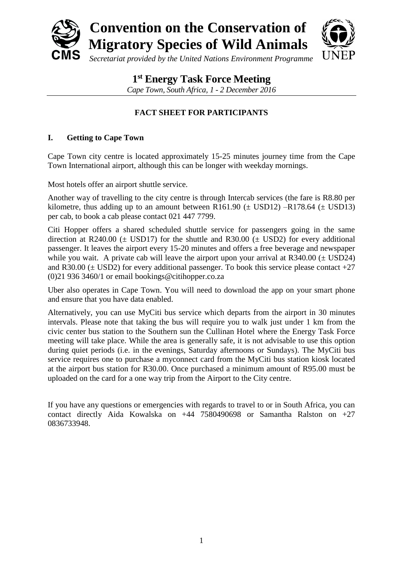

# **1 st Energy Task Force Meeting**

*Cape Town, South Africa, 1 - 2 December 2016*

# **FACT SHEET FOR PARTICIPANTS**

# **I. Getting to Cape Town**

Cape Town city centre is located approximately 15-25 minutes journey time from the Cape Town International airport, although this can be longer with weekday mornings.

Most hotels offer an airport shuttle service.

Another way of travelling to the city centre is through Intercab services (the fare is R8.80 per kilometre, thus adding up to an amount between R161.90 ( $\pm$  USD12) –R178.64 ( $\pm$  USD13) per cab, to book a cab please contact 021 447 7799.

Citi Hopper offers a shared scheduled shuttle service for passengers going in the same direction at R240.00 ( $\pm$  USD17) for the shuttle and R30.00 ( $\pm$  USD2) for every additional passenger. It leaves the airport every 15-20 minutes and offers a free beverage and newspaper while you wait. A private cab will leave the airport upon your arrival at  $R340.00 \ (\pm \text{USD24})$ and R30.00 ( $\pm$  USD2) for every additional passenger. To book this service please contact  $+27$ (0)21 936 3460/1 or email bookings@citihopper.co.za

Uber also operates in Cape Town. You will need to download the app on your smart phone and ensure that you have data enabled.

Alternatively, you can use MyCiti bus service which departs from the airport in 30 minutes intervals. Please note that taking the bus will require you to walk just under 1 km from the civic center bus station to the Southern sun the Cullinan Hotel where the Energy Task Force meeting will take place. While the area is generally safe, it is not advisable to use this option during quiet periods (i.e. in the evenings, Saturday afternoons or Sundays). The MyCiti bus service requires one to purchase a myconnect card from the MyCiti bus station kiosk located at the airport bus station for R30.00. Once purchased a minimum amount of R95.00 must be uploaded on the card for a one way trip from the Airport to the City centre.

If you have any questions or emergencies with regards to travel to or in South Africa, you can contact directly Aida Kowalska on +44 7580490698 or Samantha Ralston on +27 0836733948.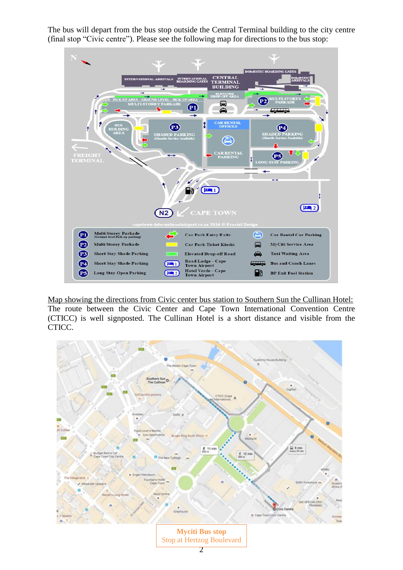The bus will depart from the bus stop outside the Central Terminal building to the city centre (final stop "Civic centre"). Please see the following map for directions to the bus stop:



Map showing the directions from Civic center bus station to Southern Sun the Cullinan Hotel: The route between the Civic Center and Cape Town International Convention Centre (CTICC) is well signposted. The Cullinan Hotel is a short distance and visible from the CTICC.

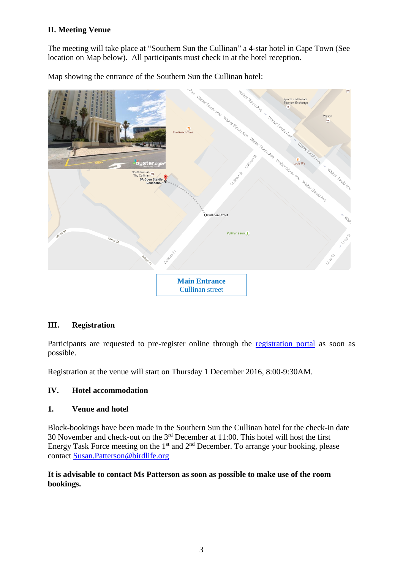# **II. Meeting Venue**

The meeting will take place at "Southern Sun the Cullinan" a 4-star hotel in Cape Town (See location on Map below). All participants must check in at the hotel reception.

Map showing the entrance of the Southern Sun the Cullinan hotel:



## **III. Registration**

Participants are requested to pre-register online through the [registration portal](https://meetings.cms.eaudeweb.ro/meetings/ETF/registration) as soon as possible.

Registration at the venue will start on Thursday 1 December 2016, 8:00-9:30AM.

## **IV. Hotel accommodation**

#### **1. Venue and hotel**

Block-bookings have been made in the Southern Sun the Cullinan hotel for the check-in date 30 November and check-out on the  $3<sup>rd</sup>$  December at 11:00. This hotel will host the first Energy Task Force meeting on the  $1<sup>st</sup>$  and  $2<sup>nd</sup>$  December. To arrange your booking, please contact [Susan.Patterson@birdlife.org](mailto:Susan.Patterson@birdlife.org)

## **It is advisable to contact Ms Patterson as soon as possible to make use of the room bookings.**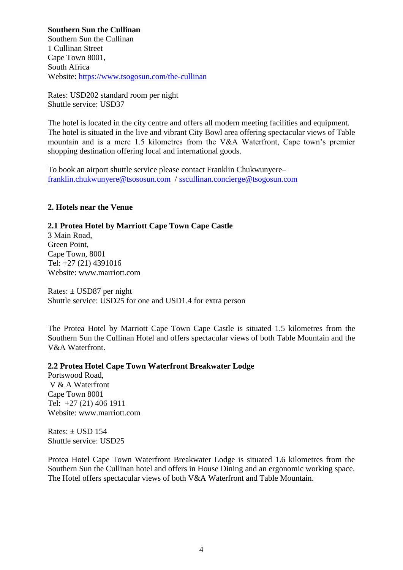#### **Southern Sun the Cullinan**

Southern Sun the Cullinan 1 Cullinan Street Cape Town 8001, South Africa Website:<https://www.tsogosun.com/the-cullinan>

Rates: USD202 standard room per night Shuttle service: USD37

The hotel is located in the city centre and offers all modern meeting facilities and equipment. The hotel is situated in the live and vibrant City Bowl area offering spectacular views of Table mountain and is a mere 1.5 kilometres from the V&A Waterfront, Cape town's premier shopping destination offering local and international goods.

To book an airport shuttle service please contact Franklin Chukwunyere– [franklin.chukwunyere@tsososun.com](mailto:franklin.chukwunyere@tsososun.com) / [sscullinan.concierge@tsogosun.com](mailto:sscullinan.concierge@tsogosun.com)

#### **2. Hotels near the Venue**

#### **2.1 Protea Hotel by Marriott Cape Town Cape Castle**

3 Main Road, Green Point, Cape Town, 8001 Tel: +27 (21) 4391016 Website: www.marriott.com

Rates:  $\pm$  USD87 per night Shuttle service: USD25 for one and USD1.4 for extra person

The Protea Hotel by Marriott Cape Town Cape Castle is situated 1.5 kilometres from the Southern Sun the Cullinan Hotel and offers spectacular views of both Table Mountain and the V&A Waterfront.

#### **2.2 Protea Hotel Cape Town Waterfront Breakwater Lodge**

Portswood Road, V & A Waterfront Cape Town 8001 Tel: +27 (21) 406 1911 Website: www.marriott.com

Rates:  $\pm$  USD 154 Shuttle service: USD25

Protea Hotel Cape Town Waterfront Breakwater Lodge is situated 1.6 kilometres from the Southern Sun the Cullinan hotel and offers in House Dining and an ergonomic working space. The Hotel offers spectacular views of both V&A Waterfront and Table Mountain.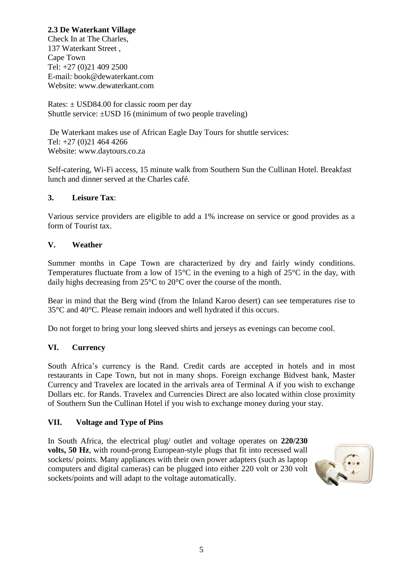# **2.3 De Waterkant Village**

Check In at The Charles, 137 Waterkant Street , Cape Town Tel: +27 (0)21 409 2500 E-mail: book@dewaterkant.com Website: www.dewaterkant.com

Rates:  $\pm$  USD84.00 for classic room per day Shuttle service:  $\pm$ USD 16 (minimum of two people traveling)

De Waterkant makes use of African Eagle Day Tours for shuttle services: Tel: +27 (0)21 464 4266 Website: www.daytours.co.za

Self-catering, Wi-Fi access, 15 minute walk from Southern Sun the Cullinan Hotel. Breakfast lunch and dinner served at the Charles café.

## **3. Leisure Tax**:

Various service providers are eligible to add a 1% increase on service or good provides as a form of Tourist tax.

#### **V. Weather**

Summer months in Cape Town are characterized by dry and fairly windy conditions. Temperatures fluctuate from a low of 15°C in the evening to a high of 25°C in the day, with daily highs decreasing from 25°C to 20°C over the course of the month.

Bear in mind that the Berg wind (from the Inland Karoo desert) can see temperatures rise to 35°C and 40°C. Please remain indoors and well hydrated if this occurs.

Do not forget to bring your long sleeved shirts and jerseys as evenings can become cool.

## **VI. Currency**

South Africa's currency is the Rand. Credit cards are accepted in hotels and in most restaurants in Cape Town, but not in many shops. Foreign exchange Bidvest bank, Master Currency and Travelex are located in the arrivals area of Terminal A if you wish to exchange Dollars etc. for Rands. Travelex and Currencies Direct are also located within close proximity of Southern Sun the Cullinan Hotel if you wish to exchange money during your stay.

## **VII. Voltage and Type of Pins**

In South Africa, the electrical plug/ outlet and voltage operates on **220/230 volts, 50 Hz**, with round-prong European-style plugs that fit into recessed wall sockets/ points. Many appliances with their own power adapters (such as laptop computers and digital cameras) can be plugged into either 220 volt or 230 volt sockets/points and will adapt to the voltage automatically.

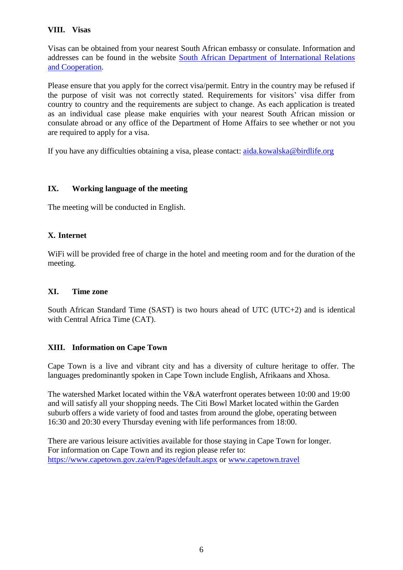## **VIII. Visas**

Visas can be obtained from your nearest South African embassy or consulate. Information and addresses can be found in the website [South African Department of International Relations](http://www.dirco.gov.za/webmissions/)  [and Cooperation.](http://www.dirco.gov.za/webmissions/)

Please ensure that you apply for the correct visa/permit. Entry in the country may be refused if the purpose of visit was not correctly stated. Requirements for visitors' visa differ from country to country and the requirements are subject to change. As each application is treated as an individual case please make enquiries with your nearest South African mission or consulate abroad or any office of the Department of Home Affairs to see whether or not you are required to apply for a visa.

If you have any difficulties obtaining a visa, please contact: [aida.kowalska@birdlife.org](mailto:aida.kowalska@birdlife.org)

## **IX. Working language of the meeting**

The meeting will be conducted in English.

## **X. Internet**

WiFi will be provided free of charge in the hotel and meeting room and for the duration of the meeting.

## **XI. Time zone**

South African Standard Time (SAST) is two hours ahead of UTC (UTC+2) and is identical with Central Africa Time (CAT).

## **XIII. Information on Cape Town**

Cape Town is a live and vibrant city and has a diversity of culture heritage to offer. The languages predominantly spoken in Cape Town include English, Afrikaans and Xhosa.

The watershed Market located within the V&A waterfront operates between 10:00 and 19:00 and will satisfy all your shopping needs. The Citi Bowl Market located within the Garden suburb offers a wide variety of food and tastes from around the globe, operating between 16:30 and 20:30 every Thursday evening with life performances from 18:00.

There are various leisure activities available for those staying in Cape Town for longer. For information on Cape Town and its region please refer to: <https://www.capetown.gov.za/en/Pages/default.aspx> or [www.capetown.travel](../../../AppData/Seugnet/Downloads/www.capetown.travel)